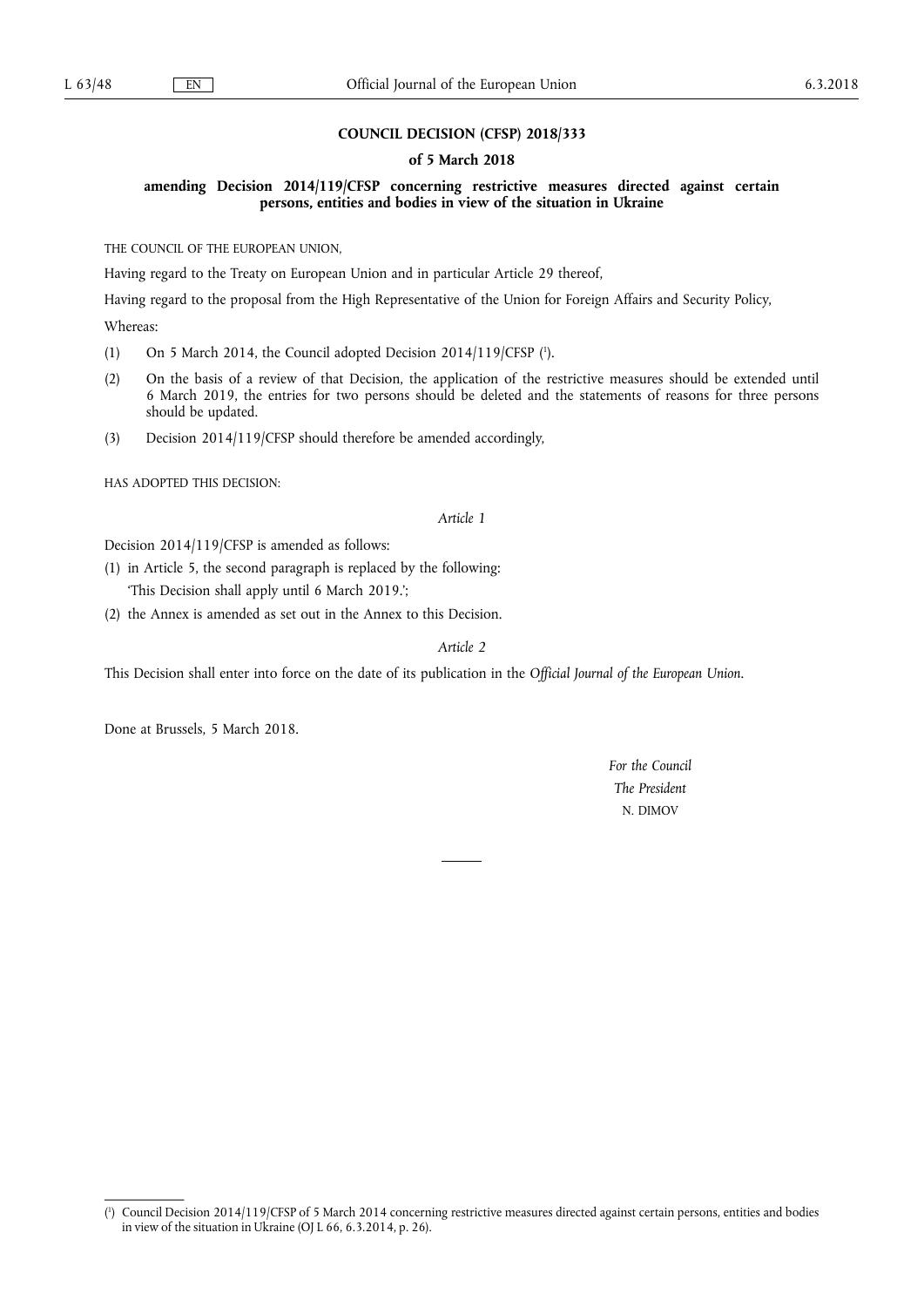## **COUNCIL DECISION (CFSP) 2018/333**

## **of 5 March 2018**

**amending Decision 2014/119/CFSP concerning restrictive measures directed against certain persons, entities and bodies in view of the situation in Ukraine** 

THE COUNCIL OF THE EUROPEAN UNION,

Having regard to the Treaty on European Union and in particular Article 29 thereof,

Having regard to the proposal from the High Representative of the Union for Foreign Affairs and Security Policy,

Whereas:

- (1) On 5 March 2014, the Council adopted Decision 2014/119/CFSP  $(1)$ .
- (2) On the basis of a review of that Decision, the application of the restrictive measures should be extended until 6 March 2019, the entries for two persons should be deleted and the statements of reasons for three persons should be updated.
- (3) Decision 2014/119/CFSP should therefore be amended accordingly,

HAS ADOPTED THIS DECISION:

## *Article 1*

Decision 2014/119/CFSP is amended as follows:

(1) in Article 5, the second paragraph is replaced by the following:

'This Decision shall apply until 6 March 2019.';

(2) the Annex is amended as set out in the Annex to this Decision.

*Article 2* 

This Decision shall enter into force on the date of its publication in the *Official Journal of the European Union*.

Done at Brussels, 5 March 2018.

*For the Council The President*  N. DIMOV

<sup>(</sup> 1 ) Council Decision 2014/119/CFSP of 5 March 2014 concerning restrictive measures directed against certain persons, entities and bodies in view of the situation in Ukraine (OJ L 66, 6.3.2014, p. 26).